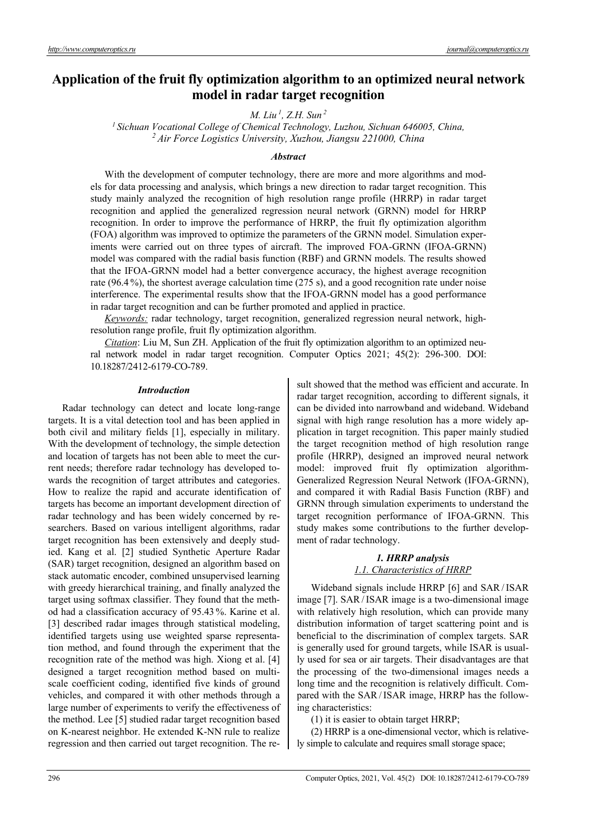# **Application of the fruit fly optimization algorithm to an optimized neural network model in radar target recognition**

*M. Liu 1, Z.H. Sun 2*

*1 Sichuan Vocational College of Chemical Technology, Luzhou, Sichuan 646005, China, 2 Air Force Logistics University, Xuzhou, Jiangsu 221000, China* 

# *Abstract*

With the development of computer technology, there are more and more algorithms and models for data processing and analysis, which brings a new direction to radar target recognition. This study mainly analyzed the recognition of high resolution range profile (HRRP) in radar target recognition and applied the generalized regression neural network (GRNN) model for HRRP recognition. In order to improve the performance of HRRP, the fruit fly optimization algorithm (FOA) algorithm was improved to optimize the parameters of the GRNN model. Simulation experiments were carried out on three types of aircraft. The improved FOA-GRNN (IFOA-GRNN) model was compared with the radial basis function (RBF) and GRNN models. The results showed that the IFOA-GRNN model had a better convergence accuracy, the highest average recognition rate (96.4 %), the shortest average calculation time (275 s), and a good recognition rate under noise interference. The experimental results show that the IFOA-GRNN model has a good performance in radar target recognition and can be further promoted and applied in practice.

*Keywords:* radar technology, target recognition, generalized regression neural network, highresolution range profile, fruit fly optimization algorithm.

*Citation*: Liu M, Sun ZH. Application of the fruit fly optimization algorithm to an optimized neural network model in radar target recognition. Computer Optics 2021; 45(2): 296-300. DOI: 10.18287/2412-6179-CO-789.

#### *Introduction*

Radar technology can detect and locate long-range targets. It is a vital detection tool and has been applied in both civil and military fields [1], especially in military. With the development of technology, the simple detection and location of targets has not been able to meet the current needs; therefore radar technology has developed towards the recognition of target attributes and categories. How to realize the rapid and accurate identification of targets has become an important development direction of radar technology and has been widely concerned by researchers. Based on various intelligent algorithms, radar target recognition has been extensively and deeply studied. Kang et al. [2] studied Synthetic Aperture Radar (SAR) target recognition, designed an algorithm based on stack automatic encoder, combined unsupervised learning with greedy hierarchical training, and finally analyzed the target using softmax classifier. They found that the method had a classification accuracy of 95.43 %. Karine et al. [3] described radar images through statistical modeling, identified targets using use weighted sparse representation method, and found through the experiment that the recognition rate of the method was high. Xiong et al. [4] designed a target recognition method based on multiscale coefficient coding, identified five kinds of ground vehicles, and compared it with other methods through a large number of experiments to verify the effectiveness of the method. Lee [5] studied radar target recognition based on K-nearest neighbor. He extended K-NN rule to realize regression and then carried out target recognition. The result showed that the method was efficient and accurate. In radar target recognition, according to different signals, it can be divided into narrowband and wideband. Wideband signal with high range resolution has a more widely application in target recognition. This paper mainly studied the target recognition method of high resolution range profile (HRRP), designed an improved neural network model: improved fruit fly optimization algorithm-Generalized Regression Neural Network (IFOA-GRNN), and compared it with Radial Basis Function (RBF) and GRNN through simulation experiments to understand the target recognition performance of IFOA-GRNN. This study makes some contributions to the further development of radar technology.

# *1. HRRP analysis 1.1. Characteristics of HRRP*

Wideband signals include HRRP [6] and SAR/ISAR image [7]. SAR/ISAR image is a two-dimensional image with relatively high resolution, which can provide many distribution information of target scattering point and is beneficial to the discrimination of complex targets. SAR is generally used for ground targets, while ISAR is usually used for sea or air targets. Their disadvantages are that the processing of the two-dimensional images needs a long time and the recognition is relatively difficult. Compared with the SAR/ISAR image, HRRP has the following characteristics:

(1) it is easier to obtain target HRRP;

(2) HRRP is a one-dimensional vector, which is relatively simple to calculate and requires small storage space;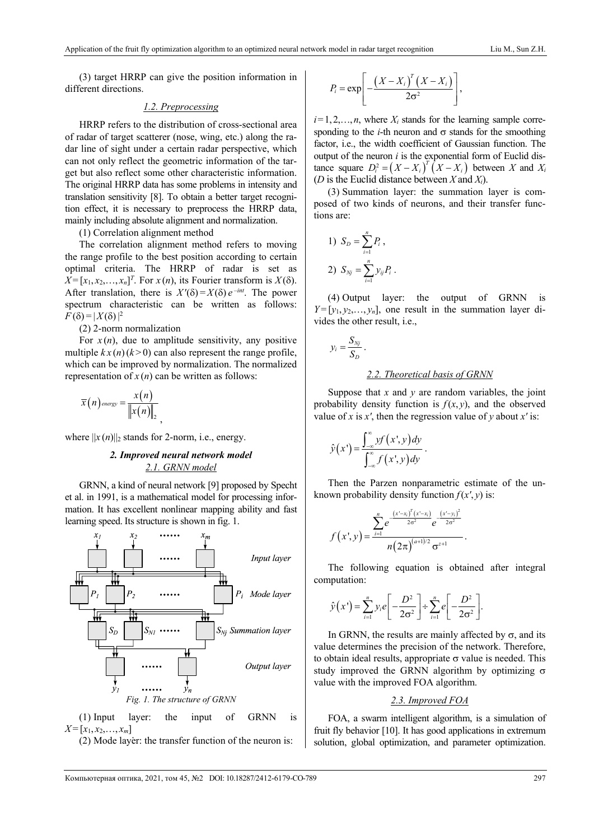(3) target HRRP can give the position information in different directions.

# *1.2. Preprocessing*

HRRP refers to the distribution of cross-sectional area of radar of target scatterer (nose, wing, etc.) along the radar line of sight under a certain radar perspective, which can not only reflect the geometric information of the target but also reflect some other characteristic information. The original HRRP data has some problems in intensity and translation sensitivity [8]. To obtain a better target recognition effect, it is necessary to preprocess the HRRP data, mainly including absolute alignment and normalization.

(1) Correlation alignment method

The correlation alignment method refers to moving the range profile to the best position according to certain optimal criteria. The HRRP of radar is set as  $X = [x_1, x_2, \dots, x_n]^T$ . For  $x(n)$ , its Fourier transform is  $X(\delta)$ . After translation, there is  $X'(\delta) = X(\delta) e^{-int}$ . The power spectrum characteristic can be written as follows:  $F(\delta) = |X(\delta)|^2$ 

(2) 2-norm normalization

For  $x(n)$ , due to amplitude sensitivity, any positive multiple  $k x(n)$  ( $k > 0$ ) can also represent the range profile, which can be improved by normalization. The normalized representation of  $x(n)$  can be written as follows:

$$
\overline{x}(n)_{\text{energy}} = \frac{x(n)}{\left\|x(n)\right\|_2},
$$

where  $||x(n)||_2$  stands for 2-norm, i.e., energy.

# *2. Improved neural network model 2.1. GRNN model*

GRNN, a kind of neural network [9] proposed by Specht et al. in 1991, is a mathematical model for processing information. It has excellent nonlinear mapping ability and fast learning speed. Its structure is shown in fig. 1.





. (2) Mode layer: the transfer function of the neuron is:

$$
P_i = \exp\left[-\frac{\left(X - X_i\right)^T \left(X - X_i\right)}{2\sigma^2}\right],
$$

 $i=1,2,\ldots,n$ , where  $X_i$  stands for the learning sample corresponding to the *i*-th neuron and  $\sigma$  stands for the smoothing factor, i.e., the width coefficient of Gaussian function. The output of the neuron *i* is the exponential form of Euclid distance square  $D_i^2 = (X - X_i)^T (X - X_i)$  between *X* and *X<sub>i</sub>* (*D* is the Euclid distance between *X* and *Xi*).

(3) Summation layer: the summation layer is composed of two kinds of neurons, and their transfer functions are:

1) 
$$
S_D = \sum_{i=1}^n P_i
$$
,  
2)  $S_{Nj} = \sum_{i=1}^n y_{ij} P_i$ .

(4) Output layer: the output of GRNN is  $Y = [y_1, y_2, \ldots, y_n]$ , one result in the summation layer divides the other result, i.e.,

$$
y_i = \frac{S_{Nj}}{S_D}.
$$

### *2.2. Theoretical basis of GRNN*

Suppose that *x* and *y* are random variables, the joint probability density function is  $f(x, y)$ , and the observed value of x is x', then the regression value of y about x' is:

$$
\hat{y}(x') = \frac{\int_{-\infty}^{\infty} y f(x', y) dy}{\int_{-\infty}^{\infty} f(x', y) dy}.
$$

Then the Parzen nonparametric estimate of the unknown probability density function  $f(x', y)$  is:

$$
f(x',y) = \frac{\sum_{i=1}^{n} e^{-\frac{(x'-x_i)^T(x'-x_i)}{2\sigma^2}} e^{-\frac{(x'-y_i)^2}{2\sigma^2}}}{n(2\pi)^{(a+1)/2}\sigma^{z+1}}.
$$

The following equation is obtained after integral computation:

$$
\hat{y}(x^{\prime}) = \sum_{i=1}^{n} y_i e \left[ -\frac{D^2}{2\sigma^2} \right] \div \sum_{i=1}^{n} e \left[ -\frac{D^2}{2\sigma^2} \right].
$$

In GRNN, the results are mainly affected by  $\sigma$ , and its value determines the precision of the network. Therefore, to obtain ideal results, appropriate  $\sigma$  value is needed. This study improved the GRNN algorithm by optimizing  $\sigma$ value with the improved FOA algorithm.

# *2.3. Improved FOA*

FOA, a swarm intelligent algorithm, is a simulation of fruit fly behavior [10]. It has good applications in extremum solution, global optimization, and parameter optimization.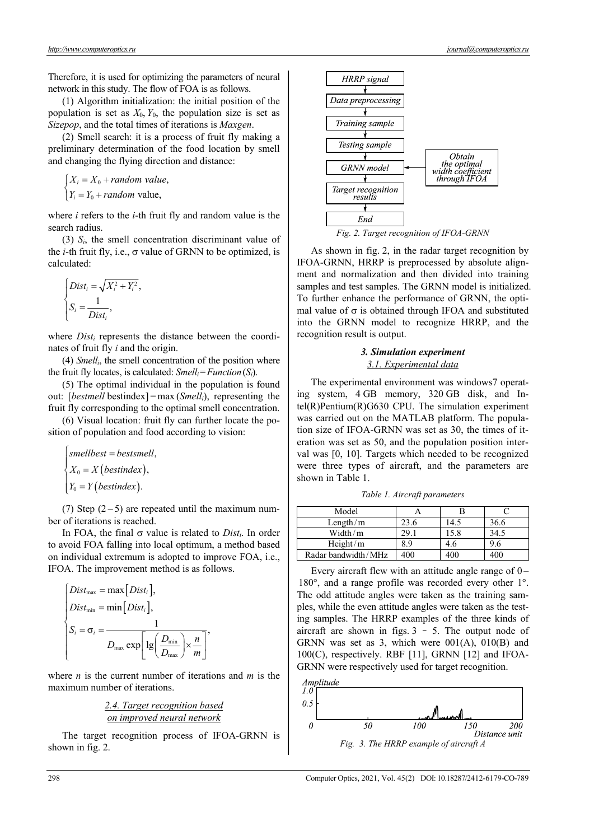Therefore, it is used for optimizing the parameters of neural network in this study. The flow of FOA is as follows.

(1) Algorithm initialization: the initial position of the population is set as  $X_0$ ,  $Y_0$ , the population size is set as *Sizepop*, and the total times of iterations is *Maxgen*.

(2) Smell search: it is a process of fruit fly making a preliminary determination of the food location by smell and changing the flying direction and distance:

 $\int_{X_i} X_i = X_0 + random$  value,  $Y_i = Y_0 + random$  value,

where *i* refers to the *i*-th fruit fly and random value is the search radius.

(3) *Si*, the smell concentration discriminant value of the *i*-th fruit fly, i.e.,  $\sigma$  value of GRNN to be optimized, is calculated:

$$
\begin{cases}\nDist_i = \sqrt{X_i^2 + Y_i^2}, \\
 S_i = \frac{1}{Dist_i},\n\end{cases}
$$

where *Dist<sub>i</sub>* represents the distance between the coordinates of fruit fly *i* and the origin.

(4) *Smelli*, the smell concentration of the position where the fruit fly locates, is calculated:  $Smell_i = Function(S_i)$ .

(5) The optimal individual in the population is found out: [*bestmell* bestindex] = max (*Smell<sub>i</sub>*), representing the fruit fly corresponding to the optimal smell concentration.

(6) Visual location: fruit fly can further locate the position of population and food according to vision:

$$
\begin{cases} smellbest = bestsmell, \\ X_0 = X \text{ (bestindex)}, \\ Y_0 = Y \text{ (bestindex)}. \end{cases}
$$

(7) Step  $(2-5)$  are repeated until the maximum number of iterations is reached.

In FOA, the final  $\sigma$  value is related to *Dist<sub>i</sub>*. In order to avoid FOA falling into local optimum, a method based on individual extremum is adopted to improve FOA, i.e., IFOA. The improvement method is as follows.

$$
\begin{cases}\nDist_{\text{max}} = \max [Dist_i], \\
Dist_{\text{min}} = \min [Dist_i], \\
S_i = \sigma_i = \frac{1}{D_{\text{max}} \exp \left[ \lg \left( \frac{D_{\text{min}}}{D_{\text{max}}} \right) \times \frac{n}{m} \right]},\n\end{cases}
$$

where *n* is the current number of iterations and *m* is the maximum number of iterations.

*2.4. Target recognition based on improved neural network* 

The target recognition process of IFOA-GRNN is shown in fig. 2.





As shown in fig. 2, in the radar target recognition by IFOA-GRNN, HRRP is preprocessed by absolute alignment and normalization and then divided into training samples and test samples. The GRNN model is initialized. To further enhance the performance of GRNN, the optimal value of  $\sigma$  is obtained through IFOA and substituted into the GRNN model to recognize HRRP, and the recognition result is output.

### *3. Simulation experiment 3.1. Experimental data*

The experimental environment was windows7 operating system, 4 GB memory, 320 GB disk, and Intel(R)Pentium(R)G630 CPU. The simulation experiment was carried out on the MATLAB platform. The population size of IFOA-GRNN was set as 30, the times of iteration was set as 50, and the population position interval was [0, 10]. Targets which needed to be recognized were three types of aircraft, and the parameters are shown in Table 1.

*Table 1. Aircraft parameters* 

| Model               |       |      |      |
|---------------------|-------|------|------|
| Length/ $m$         | 23.6  | 14.5 | 36.6 |
| Width/m             | 29. i | 15.8 | 34.5 |
| Height/m            | 8.9   | 4.6  | 9.6  |
| Radar bandwidth/MHz | 400   | 400  | 100  |

Every aircraft flew with an attitude angle range of  $0-$ 180°, and a range profile was recorded every other 1°. The odd attitude angles were taken as the training samples, while the even attitude angles were taken as the testing samples. The HRRP examples of the three kinds of aircraft are shown in figs.  $3 - 5$ . The output node of GRNN was set as 3, which were  $001(A)$ ,  $010(B)$  and 100(C), respectively. RBF [11], GRNN [12] and IFOA-GRNN were respectively used for target recognition.

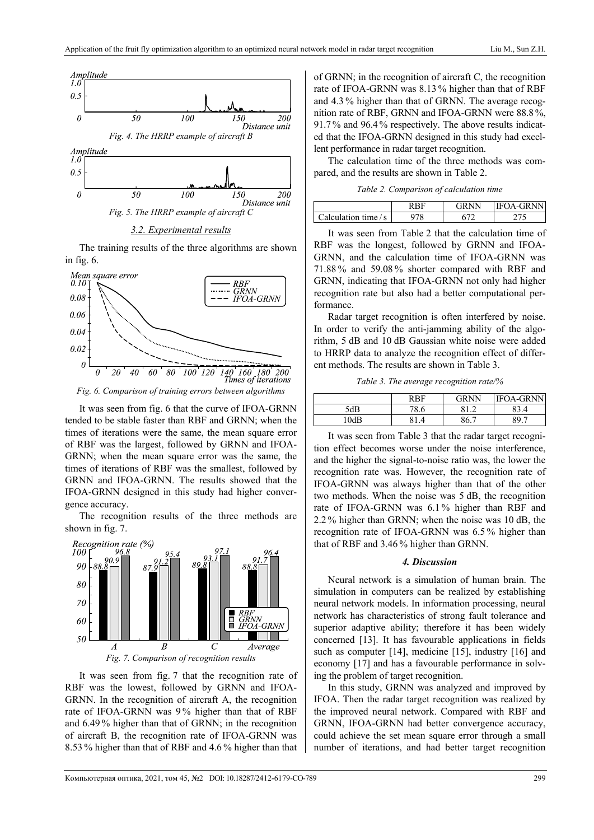

*3.2. Experimental results* 

The training results of the three algorithms are shown in fig. 6.



*Fig. 6. Comparison of training errors between algorithms* 

It was seen from fig. 6 that the curve of IFOA-GRNN tended to be stable faster than RBF and GRNN; when the times of iterations were the same, the mean square error of RBF was the largest, followed by GRNN and IFOA-GRNN; when the mean square error was the same, the times of iterations of RBF was the smallest, followed by GRNN and IFOA-GRNN. The results showed that the IFOA-GRNN designed in this study had higher convergence accuracy.

The recognition results of the three methods are shown in fig. 7.



It was seen from fig. 7 that the recognition rate of RBF was the lowest, followed by GRNN and IFOA-GRNN. In the recognition of aircraft A, the recognition rate of IFOA-GRNN was 9 % higher than that of RBF and 6.49 % higher than that of GRNN; in the recognition of aircraft B, the recognition rate of IFOA-GRNN was 8.53 % higher than that of RBF and 4.6 % higher than that

of GRNN; in the recognition of aircraft C, the recognition rate of IFOA-GRNN was 8.13 % higher than that of RBF and 4.3 % higher than that of GRNN. The average recognition rate of RBF, GRNN and IFOA-GRNN were 88.8%, 91.7 % and 96.4 % respectively. The above results indicated that the IFOA-GRNN designed in this study had excellent performance in radar target recognition.

The calculation time of the three methods was compared, and the results are shown in Table 2.

*Table 2. Comparison of calculation time* 

|                                     | $G$ <b>PNN</b> | <b>IFOA-GRNN</b> |
|-------------------------------------|----------------|------------------|
| $\blacksquare$ Calculation time / s |                |                  |

It was seen from Table 2 that the calculation time of RBF was the longest, followed by GRNN and IFOA-GRNN, and the calculation time of IFOA-GRNN was 71.88 % and 59.08 % shorter compared with RBF and GRNN, indicating that IFOA-GRNN not only had higher recognition rate but also had a better computational performance.

Radar target recognition is often interfered by noise. In order to verify the anti-jamming ability of the algorithm, 5 dB and 10 dB Gaussian white noise were added to HRRP data to analyze the recognition effect of different methods. The results are shown in Table 3.

*Table 3. The average recognition rate/%* 

|      | <b>RRF</b> | <b>GRNN</b> | <b>IFOA-GRNN</b> |
|------|------------|-------------|------------------|
| 5dB  | 70<br>8.6  | Ω1          | 3.4              |
| 10dB |            | 86.7        | 89.              |

It was seen from Table 3 that the radar target recognition effect becomes worse under the noise interference, and the higher the signal-to-noise ratio was, the lower the recognition rate was. However, the recognition rate of IFOA-GRNN was always higher than that of the other two methods. When the noise was 5 dB, the recognition rate of IFOA-GRNN was 6.1 % higher than RBF and 2.2 % higher than GRNN; when the noise was 10 dB, the recognition rate of IFOA-GRNN was 6.5 % higher than that of RBF and 3.46 % higher than GRNN.

### *4. Discussion*

Neural network is a simulation of human brain. The simulation in computers can be realized by establishing neural network models. In information processing, neural network has characteristics of strong fault tolerance and superior adaptive ability; therefore it has been widely concerned [13]. It has favourable applications in fields such as computer [14], medicine [15], industry [16] and economy [17] and has a favourable performance in solving the problem of target recognition.

In this study, GRNN was analyzed and improved by IFOA. Then the radar target recognition was realized by the improved neural network. Compared with RBF and GRNN, IFOA-GRNN had better convergence accuracy, could achieve the set mean square error through a small number of iterations, and had better target recognition